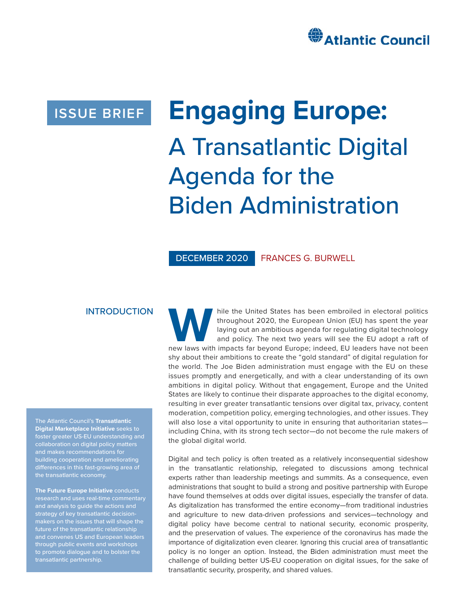

# **ISSUE BRIEF**

# **Engaging Europe:** A Transatlantic Digital Agenda for the Biden Administration

DECEMBER 2020 FRANCES G. BURWELL

#### INTRODUCTION

The Atlantic Council's **Transatlantic Digital Marketplace Initiative** seeks to foster greater US-EU understanding and collaboration on digital policy matters differences in this fast-growing area of the transatlantic economy.

**The Future Europe Initiative** conducts research and uses real-time commentary and analysis to guide the actions and strategy of key transatlantic decisionmakers on the issues that will shape the future of the transatlantic relationship and convenes US and European leaders through public events and workshops to promote dialogue and to bolster the transatlantic partnership.

hile the United States has been embroiled in electoral politics<br>
throughout 2020, the European Union (EU) has spent the year<br>
laying out an ambitious agenda for regulating digital technology<br>
and policy. The next two years throughout 2020, the European Union (EU) has spent the year laying out an ambitious agenda for regulating digital technology and policy. The next two years will see the EU adopt a raft of shy about their ambitions to create the "gold standard" of digital regulation for the world. The Joe Biden administration must engage with the EU on these issues promptly and energetically, and with a clear understanding of its own ambitions in digital policy. Without that engagement, Europe and the United States are likely to continue their disparate approaches to the digital economy, resulting in ever greater transatlantic tensions over digital tax, privacy, content moderation, competition policy, emerging technologies, and other issues. They will also lose a vital opportunity to unite in ensuring that authoritarian states including China, with its strong tech sector—do not become the rule makers of the global digital world.

Digital and tech policy is often treated as a relatively inconsequential sideshow in the transatlantic relationship, relegated to discussions among technical experts rather than leadership meetings and summits. As a consequence, even administrations that sought to build a strong and positive partnership with Europe have found themselves at odds over digital issues, especially the transfer of data. As digitalization has transformed the entire economy—from traditional industries and agriculture to new data-driven professions and services—technology and digital policy have become central to national security, economic prosperity, and the preservation of values. The experience of the coronavirus has made the importance of digitalization even clearer. Ignoring this crucial area of transatlantic policy is no longer an option. Instead, the Biden administration must meet the challenge of building better US-EU cooperation on digital issues, for the sake of transatlantic security, prosperity, and shared values.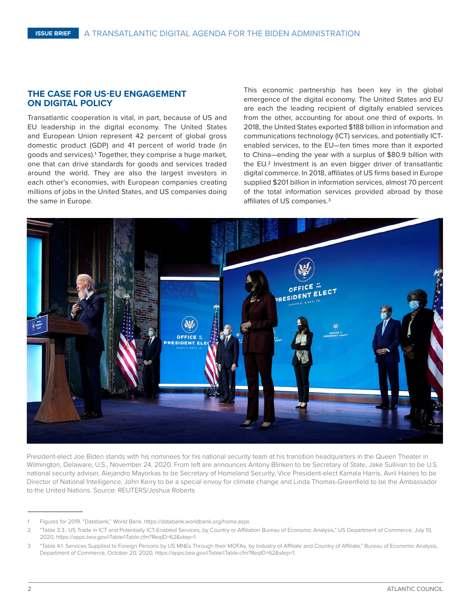#### **THE CASE FOR US-EU ENGAGEMENT ON DIGITAL POLICY**

Transatlantic cooperation is vital, in part, because of US and EU leadership in the digital economy. The United States and European Union represent 42 percent of global gross domestic product (GDP) and 41 percent of world trade (in goods and services).1 Together, they comprise a huge market, one that can drive standards for goods and services traded around the world. They are also the largest investors in each other's economies, with European companies creating millions of jobs in the United States, and US companies doing the same in Europe.

This economic partnership has been key in the global emergence of the digital economy. The United States and EU are each the leading recipient of digitally enabled services from the other, accounting for about one third of exports. In 2018, the United States exported \$188 billion in information and communications technology (ICT) services, and potentially ICTenabled services, to the EU—ten times more than it exported to China—ending the year with a surplus of \$80.9 billion with the EU.<sup>2</sup> Investment is an even bigger driver of transatlantic digital commerce. In 2018, affiliates of US firms based in Europe supplied \$201 billion in information services, almost 70 percent of the total information services provided abroad by those affiliates of US companies.3



President-elect Joe Biden stands with his nominees for his national security team at his transition headquarters in the Queen Theater in Wilmington, Delaware, U.S., November 24, 2020. From left are announces Antony Blinken to be Secretary of State, Jake Sullivan to be U.S. national security adviser, Alejandro Mayorkas to be Secretary of Homeland Security, Vice President-elect Kamala Harris, Avril Haines to be Director of National Intelligence, John Kerry to be a special envoy for climate change and Linda Thomas-Greenfield to be the Ambassador to the United Nations. Source: REUTERS/Joshua Roberts

Figures for 2019. "Databank," World Bank, <https://databank.worldbank.org/home.aspx>.

<sup>2</sup> "Table 3.3.: US Trade in ICT and Potentially ICT-Enabled Services, by Country or Affiliation Bureau of Economic Analysis," US Department of Commerce, July 10, 2020,<https://apps.bea.gov/iTable/iTable.cfm?ReqID=62&step=1>.

<sup>3</sup> "Table 4.1: Services Supplied to Foreign Persons by US MNEs Through their MOFAs, by Industry of Affiliate and Country of Affiliate," Bureau of Economic Analysis, Department of Commerce, October 20, 2020, [https://apps.bea.gov/iTable/iTable.cfm?ReqID=62&step=1.](https://apps.bea.gov/iTable/iTable.cfm?ReqID=62&step=1)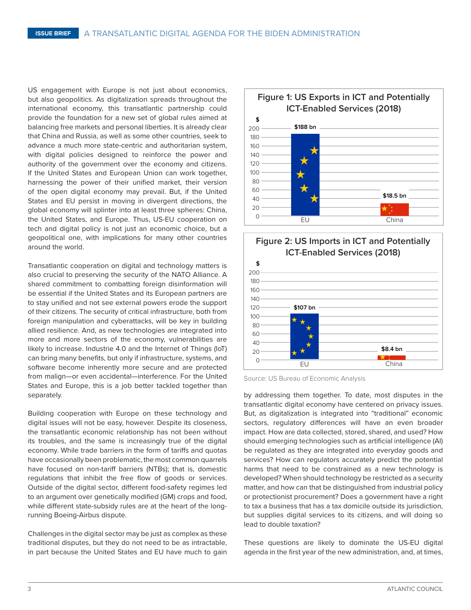US engagement with Europe is not just about economics, but also geopolitics. As digitalization spreads throughout the international economy, this transatlantic partnership could provide the foundation for a new set of global rules aimed at balancing free markets and personal liberties. It is already clear that China and Russia, as well as some other countries, seek to advance a much more state-centric and authoritarian system, with digital policies designed to reinforce the power and authority of the government over the economy and citizens. If the United States and European Union can work together, harnessing the power of their unified market, their version of the open digital economy may prevail. But, if the United States and EU persist in moving in divergent directions, the global economy will splinter into at least three spheres: China, the United States, and Europe. Thus, US-EU cooperation on tech and digital policy is not just an economic choice, but a geopolitical one, with implications for many other countries around the world.

Transatlantic cooperation on digital and technology matters is also crucial to preserving the security of the NATO Alliance. A shared commitment to combatting foreign disinformation will be essential if the United States and its European partners are to stay unified and not see external powers erode the support of their citizens. The security of critical infrastructure, both from foreign manipulation and cyberattacks, will be key in building allied resilience. And, as new technologies are integrated into more and more sectors of the economy, vulnerabilities are likely to increase. Industrie 4.0 and the Internet of Things (IoT) can bring many benefits, but only if infrastructure, systems, and software become inherently more secure and are protected from malign—or even accidental—interference. For the United States and Europe, this is a job better tackled together than separately.

Building cooperation with Europe on these technology and digital issues will not be easy, however. Despite its closeness, the transatlantic economic relationship has not been without its troubles, and the same is increasingly true of the digital economy. While trade barriers in the form of tariffs and quotas have occasionally been problematic, the most common quarrels have focused on non-tariff barriers (NTBs); that is, domestic regulations that inhibit the free flow of goods or services. Outside of the digital sector, different food-safety regimes led to an argument over genetically modified (GM) crops and food, while different state-subsidy rules are at the heart of the longrunning Boeing-Airbus dispute.

Challenges in the digital sector may be just as complex as these traditional disputes, but they do not need to be as intractable, in part because the United States and EU have much to gain





Source: US Bureau of Economic Analysis

by addressing them together. To date, most disputes in the transatlantic digital economy have centered on privacy issues. But, as digitalization is integrated into "traditional" economic sectors, regulatory differences will have an even broader impact. How are data collected, stored, shared, and used? How should emerging technologies such as artificial intelligence (AI) be regulated as they are integrated into everyday goods and services? How can regulators accurately predict the potential harms that need to be constrained as a new technology is developed? When should technology be restricted as a security matter, and how can that be distinguished from industrial policy or protectionist procurement? Does a government have a right to tax a business that has a tax domicile outside its jurisdiction, but supplies digital services to its citizens, and will doing so lead to double taxation?

These questions are likely to dominate the US-EU digital agenda in the first year of the new administration, and, at times,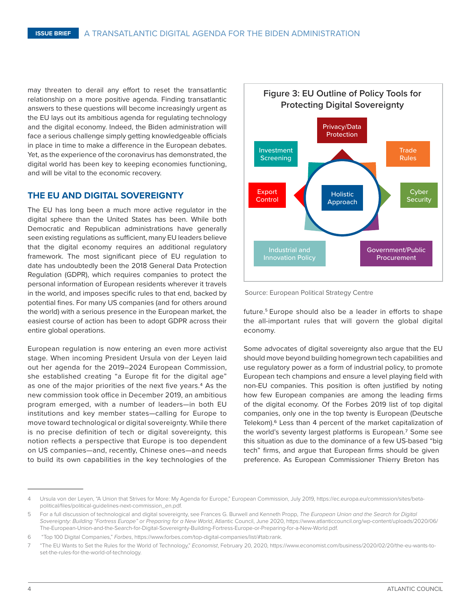may threaten to derail any effort to reset the transatlantic relationship on a more positive agenda. Finding transatlantic answers to these questions will become increasingly urgent as the EU lays out its ambitious agenda for regulating technology and the digital economy. Indeed, the Biden administration will face a serious challenge simply getting knowledgeable officials in place in time to make a difference in the European debates. Yet, as the experience of the coronavirus has demonstrated, the digital world has been key to keeping economies functioning, and will be vital to the economic recovery.

#### **THE EU AND DIGITAL SOVEREIGNTY**

The EU has long been a much more active regulator in the digital sphere than the United States has been. While both Democratic and Republican administrations have generally seen existing regulations as sufficient, many EU leaders believe that the digital economy requires an additional regulatory framework. The most significant piece of EU regulation to date has undoubtedly been the 2018 General Data Protection Regulation (GDPR), which requires companies to protect the personal information of European residents wherever it travels in the world, and imposes specific rules to that end, backed by potential fines. For many US companies (and for others around the world) with a serious presence in the European market, the easiest course of action has been to adopt GDPR across their entire global operations.

European regulation is now entering an even more activist stage. When incoming President Ursula von der Leyen laid out her agenda for the 2019–2024 European Commission, she established creating "a Europe fit for the digital age" as one of the major priorities of the next five years.4 As the new commission took office in December 2019, an ambitious program emerged, with a number of leaders—in both EU institutions and key member states—calling for Europe to move toward technological or digital sovereignty. While there is no precise definition of tech or digital sovereignty, this notion reflects a perspective that Europe is too dependent on US companies—and, recently, Chinese ones—and needs to build its own capabilities in the key technologies of the



Source: European Political Strategy Centre

future.5 Europe should also be a leader in efforts to shape the all-important rules that will govern the global digital economy.

Some advocates of digital sovereignty also argue that the EU should move beyond building homegrown tech capabilities and use regulatory power as a form of industrial policy, to promote European tech champions and ensure a level playing field with non-EU companies. This position is often justified by noting how few European companies are among the leading firms of the digital economy. Of the Forbes 2019 list of top digital companies, only one in the top twenty is European (Deutsche Telekom).<sup>6</sup> Less than 4 percent of the market capitalization of the world's seventy largest platforms is European.7 Some see this situation as due to the dominance of a few US-based "big tech" firms, and argue that European firms should be given preference. As European Commissioner Thierry Breton has

<sup>4</sup> Ursula von der Leyen, "A Union that Strives for More: My Agenda for Europe," European Commission, July 2019, [https://ec.europa.eu/commission/sites/beta](https://ec.europa.eu/commission/sites/beta-political/files/political-guidelines-next-commission_en.pdf)[political/files/political-guidelines-next-commission\\_en.pdf](https://ec.europa.eu/commission/sites/beta-political/files/political-guidelines-next-commission_en.pdf).

<sup>5</sup> For a full discussion of technological and digital sovereignty, see Frances G. Burwell and Kenneth Propp, *The European Union and the Search for Digital Sovereignty: Building "Fortress Europe" or Preparing for a New World*, Atlantic Council, June 2020, [https://www.atlanticcouncil.org/wp-content/uploads/2020/06/](https://www.atlanticcouncil.org/wp-content/uploads/2020/06/The-European-Union-and-the-Search-for-Digital-Sovereignty-Building-Fortress-Europe-or-Preparing-for-a-New-World.pdf) [The-European-Union-and-the-Search-for-Digital-Sovereignty-Building-Fortress-Europe-or-Preparing-for-a-New-World.pdf.](https://www.atlanticcouncil.org/wp-content/uploads/2020/06/The-European-Union-and-the-Search-for-Digital-Sovereignty-Building-Fortress-Europe-or-Preparing-for-a-New-World.pdf)

<sup>6 &</sup>quot;Top 100 Digital Companies," *Forbes*, [https://www.forbes.com/top-digital-companies/list/#tab:](https://www.forbes.com/top-digital-companies/list/#tab)rank.

<sup>7</sup> "The EU Wants to Set the Rules for the World of Technology," *Economist*, February 20, 2020, [https://www.economist.com/business/2020/02/20/the-eu-wants-to](https://www.economist.com/business/2020/02/20/the-eu-wants-to-set-the-rules-for-the-world-of-technology)[set-the-rules-for-the-world-of-technology.](https://www.economist.com/business/2020/02/20/the-eu-wants-to-set-the-rules-for-the-world-of-technology)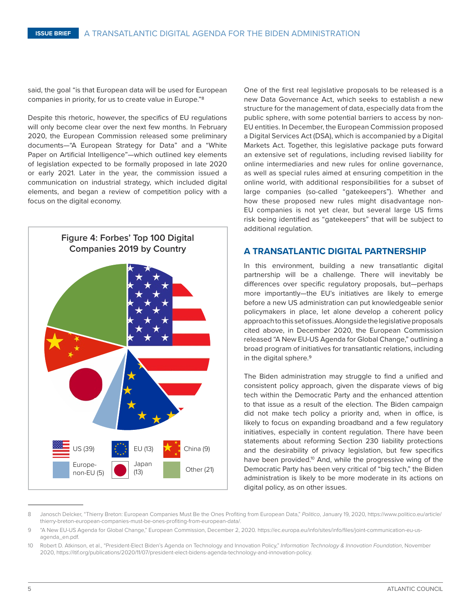said, the goal "is that European data will be used for European companies in priority, for us to create value in Europe."8

Despite this rhetoric, however, the specifics of EU regulations will only become clear over the next few months. In February 2020, the European Commission released some preliminary documents—"A European Strategy for Data" and a "White Paper on Artificial Intelligence"—which outlined key elements of legislation expected to be formally proposed in late 2020 or early 2021. Later in the year, the commission issued a communication on industrial strategy, which included digital elements, and began a review of competition policy with a focus on the digital economy.



One of the first real legislative proposals to be released is a new Data Governance Act, which seeks to establish a new structure for the management of data, especially data from the public sphere, with some potential barriers to access by non-EU entities. In December, the European Commission proposed a Digital Services Act (DSA), which is accompanied by a Digital Markets Act. Together, this legislative package puts forward an extensive set of regulations, including revised liability for online intermediaries and new rules for online governance, as well as special rules aimed at ensuring competition in the online world, with additional responsibilities for a subset of large companies (so-called "gatekeepers"). Whether and how these proposed new rules might disadvantage non-EU companies is not yet clear, but several large US firms risk being identified as "gatekeepers" that will be subject to additional regulation.

#### **A TRANSATLANTIC DIGITAL PARTNERSHIP**

In this environment, building a new transatlantic digital partnership will be a challenge. There will inevitably be differences over specific regulatory proposals, but—perhaps more importantly—the EU's initiatives are likely to emerge before a new US administration can put knowledgeable senior policymakers in place, let alone develop a coherent policy approach to this set of issues. Alongside the legislative proposals cited above, in December 2020, the European Commission released "A New EU-US Agenda for Global Change," outlining a broad program of initiatives for transatlantic relations, including in the digital sphere.<sup>9</sup>

The Biden administration may struggle to find a unified and consistent policy approach, given the disparate views of big tech within the Democratic Party and the enhanced attention to that issue as a result of the election. The Biden campaign did not make tech policy a priority and, when in office, is likely to focus on expanding broadband and a few regulatory initiatives, especially in content regulation. There have been statements about reforming Section 230 liability protections and the desirability of privacy legislation, but few specifics have been provided.<sup>10</sup> And, while the progressive wing of the Democratic Party has been very critical of "big tech," the Biden administration is likely to be more moderate in its actions on digital policy, as on other issues.

<sup>8</sup> Janosch Delcker, "Thierry Breton: European Companies Must Be the Ones Profiting from European Data," *Politico*, January 19, 2020, [https://www.politico.eu/article/](https://www.politico.eu/article/thierry-breton-european-companies-must-be-ones-profiting-from-european-data/) [thierry-breton-european-companies-must-be-ones-profiting-from-european-data/](https://www.politico.eu/article/thierry-breton-european-companies-must-be-ones-profiting-from-european-data/).

<sup>9</sup> "A New EU-US Agenda for Global Change," European Commission, December 2, 2020. [https://ec.europa.eu/info/sites/info/files/joint-communication-eu-us](https://ec.europa.eu/info/sites/info/files/joint-communication-eu-us-agenda_en.pdf)[agenda\\_en.pdf](https://ec.europa.eu/info/sites/info/files/joint-communication-eu-us-agenda_en.pdf).

<sup>10</sup> Robert D. Atkinson, et al., "President-Elect Biden's Agenda on Technology and Innovation Policy," *Information Technology & Innovation Foundation*, November 2020,<https://itif.org/publications/2020/11/07/president-elect-bidens-agenda-technology-and-innovation-policy>.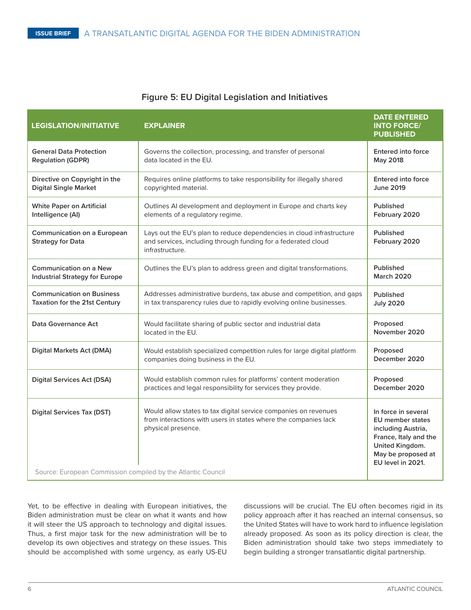#### **Figure 5: EU Digital Legislation and Initiatives**

| <b>LEGISLATION/INITIATIVE</b>                                                                     | <b>EXPLAINER</b>                                                                                                                                          | <b>DATE ENTERED</b><br><b>INTO FORCE/</b><br><b>PUBLISHED</b>                                                                                               |
|---------------------------------------------------------------------------------------------------|-----------------------------------------------------------------------------------------------------------------------------------------------------------|-------------------------------------------------------------------------------------------------------------------------------------------------------------|
| <b>General Data Protection</b><br><b>Regulation (GDPR)</b>                                        | Governs the collection, processing, and transfer of personal<br>data located in the EU.                                                                   | <b>Entered into force</b><br>May 2018                                                                                                                       |
| Directive on Copyright in the<br><b>Digital Single Market</b>                                     | Requires online platforms to take responsibility for illegally shared<br>copyrighted material.                                                            | <b>Entered into force</b><br><b>June 2019</b>                                                                                                               |
| <b>White Paper on Artificial</b><br>Intelligence (AI)                                             | Outlines AI development and deployment in Europe and charts key<br>elements of a regulatory regime.                                                       | Published<br>February 2020                                                                                                                                  |
| Communication on a European<br><b>Strategy for Data</b>                                           | Lays out the EU's plan to reduce dependencies in cloud infrastructure<br>and services, including through funding for a federated cloud<br>infrastructure. | Published<br>February 2020                                                                                                                                  |
| <b>Communication on a New</b><br><b>Industrial Strategy for Europe</b>                            | Outlines the EU's plan to address green and digital transformations.                                                                                      | Published<br><b>March 2020</b>                                                                                                                              |
| <b>Communication on Business</b><br>Taxation for the 21st Century                                 | Addresses administrative burdens, tax abuse and competition, and gaps<br>in tax transparency rules due to rapidly evolving online businesses.             | Published<br><b>July 2020</b>                                                                                                                               |
| Data Governance Act                                                                               | Would facilitate sharing of public sector and industrial data<br>located in the EU.                                                                       | Proposed<br>November 2020                                                                                                                                   |
| <b>Digital Markets Act (DMA)</b>                                                                  | Would establish specialized competition rules for large digital platform<br>companies doing business in the EU.                                           | Proposed<br>December 2020                                                                                                                                   |
| <b>Digital Services Act (DSA)</b>                                                                 | Would establish common rules for platforms' content moderation<br>practices and legal responsibility for services they provide.                           | Proposed<br>December 2020                                                                                                                                   |
| <b>Digital Services Tax (DST)</b><br>Source: European Commission compiled by the Atlantic Council | Would allow states to tax digital service companies on revenues<br>from interactions with users in states where the companies lack<br>physical presence.  | In force in several<br><b>EU</b> member states<br>including Austria,<br>France, Italy and the<br>United Kingdom.<br>May be proposed at<br>EU level in 2021. |

Yet, to be effective in dealing with European initiatives, the Biden administration must be clear on what it wants and how it will steer the US approach to technology and digital issues. Thus, a first major task for the new administration will be to develop its own objectives and strategy on these issues. This should be accomplished with some urgency, as early US-EU

discussions will be crucial. The EU often becomes rigid in its policy approach after it has reached an internal consensus, so the United States will have to work hard to influence legislation already proposed. As soon as its policy direction is clear, the Biden administration should take two steps immediately to begin building a stronger transatlantic digital partnership.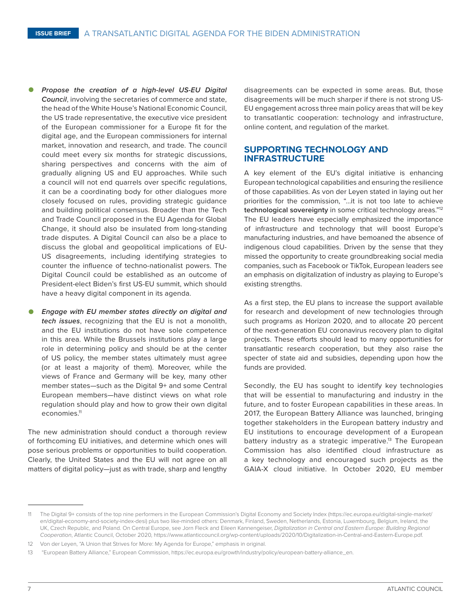- *Propose the creation of a high-level US-EU Digital Council*, involving the secretaries of commerce and state, the head of the White House's National Economic Council, the US trade representative, the executive vice president of the European commissioner for a Europe fit for the digital age, and the European commissioners for internal market, innovation and research, and trade. The council could meet every six months for strategic discussions, sharing perspectives and concerns with the aim of gradually aligning US and EU approaches. While such a council will not end quarrels over specific regulations, it can be a coordinating body for other dialogues more closely focused on rules, providing strategic guidance and building political consensus. Broader than the Tech and Trade Council proposed in the EU Agenda for Global Change, it should also be insulated from long-standing trade disputes. A Digital Council can also be a place to discuss the global and geopolitical implications of EU-US disagreements, including identifying strategies to counter the influence of techno-nationalist powers. The Digital Council could be established as an outcome of President-elect Biden's first US-EU summit, which should have a heavy digital component in its agenda.
- *Engage with EU member states directly on digital and tech issues*, recognizing that the EU is not a monolith, and the EU institutions do not have sole competence in this area. While the Brussels institutions play a large role in determining policy and should be at the center of US policy, the member states ultimately must agree (or at least a majority of them). Moreover, while the views of France and Germany will be key, many other member states—such as the Digital 9+ and some Central European members—have distinct views on what role regulation should play and how to grow their own digital economies.11

The new administration should conduct a thorough review of forthcoming EU initiatives, and determine which ones will pose serious problems or opportunities to build cooperation. Clearly, the United States and the EU will not agree on all matters of digital policy—just as with trade, sharp and lengthy disagreements can be expected in some areas. But, those disagreements will be much sharper if there is not strong US-EU engagement across three main policy areas that will be key to transatlantic cooperation: technology and infrastructure, online content, and regulation of the market.

### **SUPPORTING TECHNOLOGY AND INFRASTRUCTURE**

A key element of the EU's digital initiative is enhancing European technological capabilities and ensuring the resilience of those capabilities. As von der Leyen stated in laying out her priorities for the commission, "…it is not too late to achieve **technological sovereignty** in some critical technology areas."12 The EU leaders have especially emphasized the importance of infrastructure and technology that will boost Europe's manufacturing industries, and have bemoaned the absence of indigenous cloud capabilities. Driven by the sense that they missed the opportunity to create groundbreaking social media companies, such as Facebook or TikTok, European leaders see an emphasis on digitalization of industry as playing to Europe's existing strengths.

As a first step, the EU plans to increase the support available for research and development of new technologies through such programs as Horizon 2020, and to allocate 20 percent of the next-generation EU coronavirus recovery plan to digital projects. These efforts should lead to many opportunities for transatlantic research cooperation, but they also raise the specter of state aid and subsidies, depending upon how the funds are provided.

Secondly, the EU has sought to identify key technologies that will be essential to manufacturing and industry in the future, and to foster European capabilities in these areas. In 2017, the European Battery Alliance was launched, bringing together stakeholders in the European battery industry and EU institutions to encourage development of a European battery industry as a strategic imperative.<sup>13</sup> The European Commission has also identified cloud infrastructure as a key technology and encouraged such projects as the GAIA-X cloud initiative. In October 2020, EU member

<sup>11</sup> The Digital 9+ consists of the top nine performers in the European Commission's Digital Economy and Society Index ([https://ec.europa.eu/digital-single-market/](https://ec.europa.eu/digital-single-market/en/digital-economy-and-society-index-desi) [en/digital-economy-and-society-index-desi\)](https://ec.europa.eu/digital-single-market/en/digital-economy-and-society-index-desi) plus two like-minded others: Denmark, Finland, Sweden, Netherlands, Estonia, Luxembourg, Belgium, Ireland, the UK, Czech Republic, and Poland. On Central Europe, see Jorn Fleck and Eileen Kannengeiser, *Digitalization in Central and Eastern Europe: Building Regional Cooperation*, Atlantic Council, October 2020, [https://www.atlanticcouncil.org/wp-content/uploads/2020/10/Digitalization-in-Central-and-Eastern-Europe.pdf.](https://www.atlanticcouncil.org/wp-content/uploads/2020/10/Digitalization-in-Central-and-Eastern-Europe.pdf)

<sup>12</sup> Von der Leyen, "A Union that Strives for More: My Agenda for Europe," emphasis in original.

<sup>13 &</sup>quot;European Battery Alliance," European Commission, [https://ec.europa.eu/growth/industry/policy/european-battery-alliance\\_en](https://ec.europa.eu/growth/industry/policy/european-battery-alliance_en).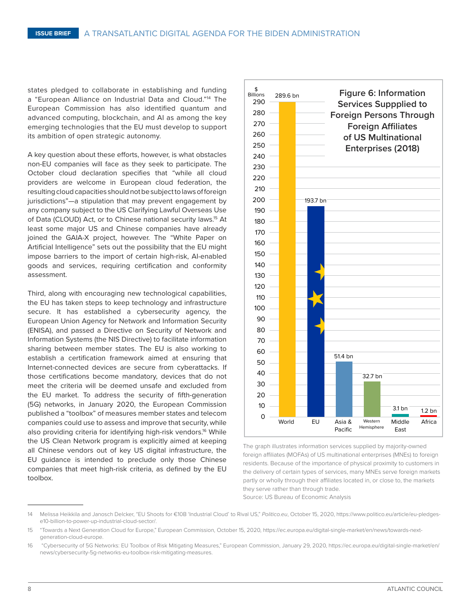states pledged to collaborate in establishing and funding a "European Alliance on Industrial Data and Cloud."14 The European Commission has also identified quantum and advanced computing, blockchain, and AI as among the key emerging technologies that the EU must develop to support its ambition of open strategic autonomy.

A key question about these efforts, however, is what obstacles non-EU companies will face as they seek to participate. The October cloud declaration specifies that "while all cloud providers are welcome in European cloud federation, the resulting cloud capacities should not be subject to laws of foreign jurisdictions"—a stipulation that may prevent engagement by any company subject to the US Clarifying Lawful Overseas Use of Data (CLOUD) Act, or to Chinese national security laws.<sup>15</sup> At least some major US and Chinese companies have already joined the GAIA-X project, however. The "White Paper on Artificial Intelligence" sets out the possibility that the EU might impose barriers to the import of certain high-risk, AI-enabled goods and services, requiring certification and conformity assessment.

Third, along with encouraging new technological capabilities, the EU has taken steps to keep technology and infrastructure secure. It has established a cybersecurity agency, the European Union Agency for Network and Information Security (ENISA), and passed a Directive on Security of Network and Information Systems (the NIS Directive) to facilitate information sharing between member states. The EU is also working to establish a certification framework aimed at ensuring that Internet-connected devices are secure from cyberattacks. If those certifications become mandatory, devices that do not meet the criteria will be deemed unsafe and excluded from the EU market. To address the security of fifth-generation (5G) networks, in January 2020, the European Commission published a "toolbox" of measures member states and telecom companies could use to assess and improve that security, while also providing criteria for identifying high-risk vendors.<sup>16</sup> While the US Clean Network program is explicitly aimed at keeping all Chinese vendors out of key US digital infrastructure, the EU guidance is intended to preclude only those Chinese companies that meet high-risk criteria, as defined by the EU toolbox.



The graph illustrates information services supplied by majority-owned foreign affiliates (MOFAs) of US multinational enterprises (MNEs) to foreign residents. Because of the importance of physical proximity to customers in the delivery of certain types of services, many MNEs serve foreign markets partly or wholly through their affiliates located in, or close to, the markets they serve rather than through trade.

Source: US Bureau of Economic Analysis

<sup>14</sup> Melissa Heikkila and Janosch Delcker, "EU Shoots for €10B 'Industrial Cloud' to Rival US," *[Politico.eu](http://Politico.eu)*, October 15, 2020, [https://www.politico.eu/article/eu-pledges](https://www.politico.eu/article/eu-pledges-e10-billion-to-power-up-industrial-cloud-sector/)[e10-billion-to-power-up-industrial-cloud-sector/](https://www.politico.eu/article/eu-pledges-e10-billion-to-power-up-industrial-cloud-sector/).

<sup>15</sup> "Towards a Next Generation Cloud for Europe," European Commission, October 15, 2020, [https://ec.europa.eu/digital-single-market/en/news/towards-next](https://ec.europa.eu/digital-single-market/en/news/towards-next-generation-cloud-europe)[generation-cloud-europe.](https://ec.europa.eu/digital-single-market/en/news/towards-next-generation-cloud-europe)

<sup>16 &</sup>quot;Cybersecurity of 5G Networks: EU Toolbox of Risk Mitigating Measures," European Commission, January 29, 2020, [https://ec.europa.eu/digital-single-market/en/](https://ec.europa.eu/digital-single-market/en/news/cybersecurity-5g-networks-eu-toolbox-risk-mitigating-measures) [news/cybersecurity-5g-networks-eu-toolbox-risk-mitigating-measures](https://ec.europa.eu/digital-single-market/en/news/cybersecurity-5g-networks-eu-toolbox-risk-mitigating-measures).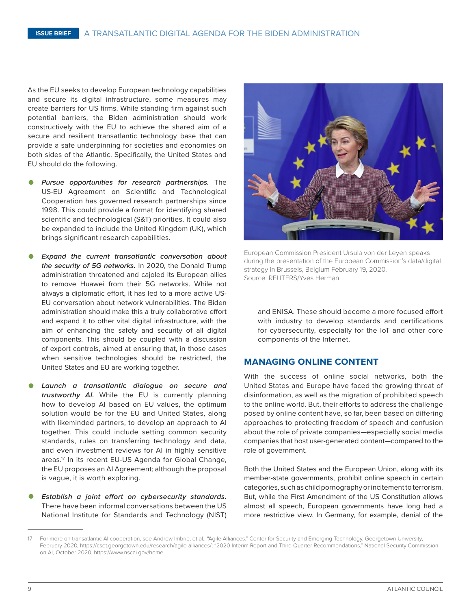As the EU seeks to develop European technology capabilities and secure its digital infrastructure, some measures may create barriers for US firms. While standing firm against such potential barriers, the Biden administration should work constructively with the EU to achieve the shared aim of a secure and resilient transatlantic technology base that can provide a safe underpinning for societies and economies on both sides of the Atlantic. Specifically, the United States and EU should do the following.

- *Pursue opportunities for research partnerships.* The US-EU Agreement on Scientific and Technological Cooperation has governed research partnerships since 1998. This could provide a format for identifying shared scientific and technological (S&T) priorities. It could also be expanded to include the United Kingdom (UK), which brings significant research capabilities.
- *Expand the current transatlantic conversation about the security of 5G networks.* In 2020, the Donald Trump administration threatened and cajoled its European allies to remove Huawei from their 5G networks. While not always a diplomatic effort, it has led to a more active US-EU conversation about network vulnerabilities. The Biden administration should make this a truly collaborative effort and expand it to other vital digital infrastructure, with the aim of enhancing the safety and security of all digital components. This should be coupled with a discussion of export controls, aimed at ensuring that, in those cases when sensitive technologies should be restricted, the United States and EU are working together.
- *Launch a transatlantic dialogue on secure and trustworthy AI.* While the EU is currently planning how to develop AI based on EU values, the optimum solution would be for the EU and United States, along with likeminded partners, to develop an approach to AI together. This could include setting common security standards, rules on transferring technology and data, and even investment reviews for AI in highly sensitive areas.17 In its recent EU-US Agenda for Global Change, the EU proposes an AI Agreement; although the proposal is vague, it is worth exploring.
- *Establish a joint effort on cybersecurity standards.*  There have been informal conversations between the US National Institute for Standards and Technology (NIST)



European Commission President Ursula von der Leyen speaks during the presentation of the European Commission's data/digital strategy in Brussels, Belgium February 19, 2020. Source: REUTERS/Yves Herman

and ENISA. These should become a more focused effort with industry to develop standards and certifications for cybersecurity, especially for the IoT and other core components of the Internet.

### **MANAGING ONLINE CONTENT**

With the success of online social networks, both the United States and Europe have faced the growing threat of disinformation, as well as the migration of prohibited speech to the online world. But, their efforts to address the challenge posed by online content have, so far, been based on differing approaches to protecting freedom of speech and confusion about the role of private companies—especially social media companies that host user-generated content—compared to the role of government.

Both the United States and the European Union, along with its member-state governments, prohibit online speech in certain categories, such as child pornography or incitement to terrorism. But, while the First Amendment of the US Constitution allows almost all speech, European governments have long had a more restrictive view. In Germany, for example, denial of the

For more on transatlantic AI cooperation, see Andrew Imbrie, et al., "Agile Alliances," Center for Security and Emerging Technology, Georgetown University, February 2020,<https://cset.georgetown.edu/research/agile-alliances/>; "2020 Interim Report and Third Quarter Recommendations," National Security Commission on AI, October 2020,<https://www.nscai.gov/home>.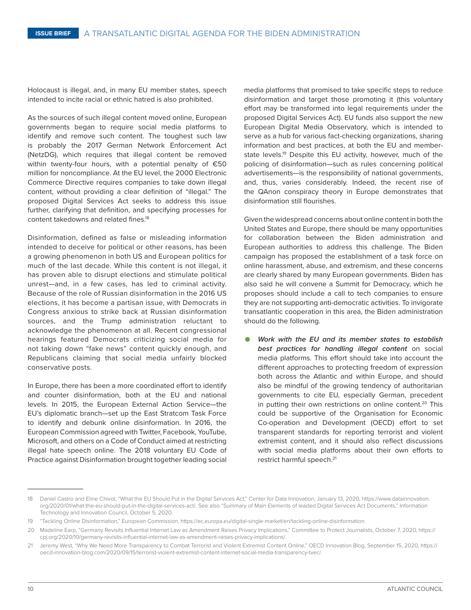Holocaust is illegal, and, in many EU member states, speech intended to incite racial or ethnic hatred is also prohibited.

As the sources of such illegal content moved online, European governments began to require social media platforms to identify and remove such content. The toughest such law is probably the 2017 German Network Enforcement Act (NetzDG), which requires that illegal content be removed within twenty-four hours, with a potential penalty of €50 million for noncompliance. At the EU level, the 2000 Electronic Commerce Directive requires companies to take down illegal content, without providing a clear definition of "illegal." The proposed Digital Services Act seeks to address this issue further, clarifying that definition, and specifying processes for content takedowns and related fines.<sup>18</sup>

Disinformation, defined as false or misleading information intended to deceive for political or other reasons, has been a growing phenomenon in both US and European politics for much of the last decade. While this content is not illegal, it has proven able to disrupt elections and stimulate political unrest—and, in a few cases, has led to criminal activity. Because of the role of Russian disinformation in the 2016 US elections, it has become a partisan issue, with Democrats in Congress anxious to strike back at Russian disinformation sources, and the Trump administration reluctant to acknowledge the phenomenon at all. Recent congressional hearings featured Democrats criticizing social media for not taking down "fake news" content quickly enough, and Republicans claiming that social media unfairly blocked conservative posts.

In Europe, there has been a more coordinated effort to identify and counter disinformation, both at the EU and national levels. In 2015, the European External Action Service—the EU's diplomatic branch—set up the East Stratcom Task Force to identify and debunk online disinformation. In 2016, the European Commission agreed with Twitter, Facebook, YouTube, Microsoft, and others on a Code of Conduct aimed at restricting illegal hate speech online. The 2018 voluntary EU Code of Practice against Disinformation brought together leading social

media platforms that promised to take specific steps to reduce disinformation and target those promoting it (this voluntary effort may be transformed into legal requirements under the proposed Digital Services Act). EU funds also support the new European Digital Media Observatory, which is intended to serve as a hub for various fact-checking organizations, sharing information and best practices, at both the EU and memberstate levels.<sup>19</sup> Despite this EU activity, however, much of the policing of disinformation—such as rules concerning political advertisements—is the responsibility of national governments, and, thus, varies considerably. Indeed, the recent rise of the QAnon conspiracy theory in Europe demonstrates that disinformation still flourishes.

Given the widespread concerns about online content in both the United States and Europe, there should be many opportunities for collaboration between the Biden administration and European authorities to address this challenge. The Biden campaign has proposed the establishment of a task force on online harassment, abuse, and extremism, and these concerns are clearly shared by many European governments. Biden has also said he will convene a Summit for Democracy, which he proposes should include a call to tech companies to ensure they are not supporting anti-democratic activities. To invigorate transatlantic cooperation in this area, the Biden administration should do the following.

• *Work with the EU and its member states to establish best practices for handling illegal content* on social media platforms. This effort should take into account the different approaches to protecting freedom of expression both across the Atlantic and within Europe, and should also be mindful of the growing tendency of authoritarian governments to cite EU, especially German, precedent in putting their own restrictions on online content.20 This could be supportive of the Organisation for Economic Co-operation and Development (OECD) effort to set transparent standards for reporting terrorist and violent extremist content, and it should also reflect discussions with social media platforms about their own efforts to restrict harmful speech.<sup>21</sup>

<sup>18</sup> Daniel Castro and Eline Chivot, "What the EU Should Put in the Digital Services Act," Center for Data Innovation, January 13, 2020, [https://www.datainnovation.](https://www.datainnovation.org/2020/01/what-the-eu-should-put-in-the-digital-services-act/) [org/2020/01/what-the-eu-should-put-in-the-digital-services-act/](https://www.datainnovation.org/2020/01/what-the-eu-should-put-in-the-digital-services-act/). See also "Summary of Main Elements of leaded Digital Services Act Documents," Information Technology and Innovation Council, October 5, 2020.

<sup>19</sup> "Tackling Online Disinformation," European Commission, [https://ec.europa.eu/digital-single-market/en/tackling-online-disinformation.](https://ec.europa.eu/digital-single-market/en/tackling-online-disinformation)

<sup>20</sup> Madeline Earp, "Germany Revisits Influential Internet Law as Amendment Raises Privacy Implications," Committee to Protect Journalists, October 7, 2020, [https://](https://cpj.org/2020/10/germany-revisits-influential-internet-law-as-amendment-raises-privacy-implications/) [cpj.org/2020/10/germany-revisits-influential-internet-law-as-amendment-raises-privacy-implications/.](https://cpj.org/2020/10/germany-revisits-influential-internet-law-as-amendment-raises-privacy-implications/)

<sup>21</sup> Jeremy West, "Why We Need More Transparency to Combat Terrorist and Violent Extremist Content Online," OECD Innovation Blog, September 15, 2020, [https://](https://oecd-innovation-blog.com/2020/09/15/terrorist-violent-extremist-content-internet-social-media-transparency-tvec/) [oecd-innovation-blog.com/2020/09/15/terrorist-violent-extremist-content-internet-social-media-transparency-tvec/](https://oecd-innovation-blog.com/2020/09/15/terrorist-violent-extremist-content-internet-social-media-transparency-tvec/).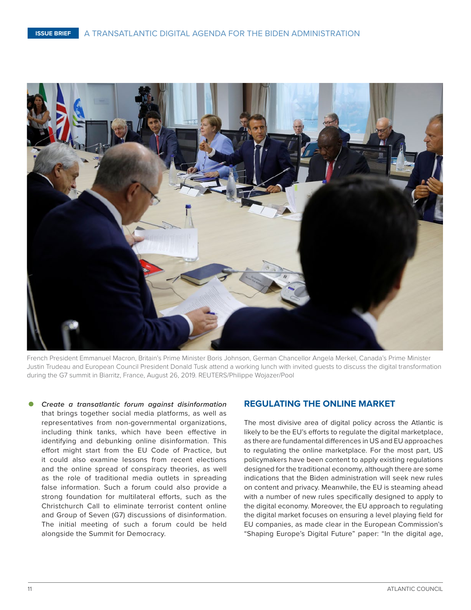

French President Emmanuel Macron, Britain's Prime Minister Boris Johnson, German Chancellor Angela Merkel, Canada's Prime Minister Justin Trudeau and European Council President Donald Tusk attend a working lunch with invited guests to discuss the digital transformation during the G7 summit in Biarritz, France, August 26, 2019. REUTERS/Philippe Wojazer/Pool

• *Create a transatlantic forum against disinformation*  that brings together social media platforms, as well as representatives from non-governmental organizations, including think tanks, which have been effective in identifying and debunking online disinformation. This effort might start from the EU Code of Practice, but it could also examine lessons from recent elections and the online spread of conspiracy theories, as well as the role of traditional media outlets in spreading false information. Such a forum could also provide a strong foundation for multilateral efforts, such as the Christchurch Call to eliminate terrorist content online and Group of Seven (G7) discussions of disinformation. The initial meeting of such a forum could be held alongside the Summit for Democracy.

#### **REGULATING THE ONLINE MARKET**

The most divisive area of digital policy across the Atlantic is likely to be the EU's efforts to regulate the digital marketplace, as there are fundamental differences in US and EU approaches to regulating the online marketplace. For the most part, US policymakers have been content to apply existing regulations designed for the traditional economy, although there are some indications that the Biden administration will seek new rules on content and privacy. Meanwhile, the EU is steaming ahead with a number of new rules specifically designed to apply to the digital economy. Moreover, the EU approach to regulating the digital market focuses on ensuring a level playing field for EU companies, as made clear in the European Commission's "Shaping Europe's Digital Future" paper: "In the digital age,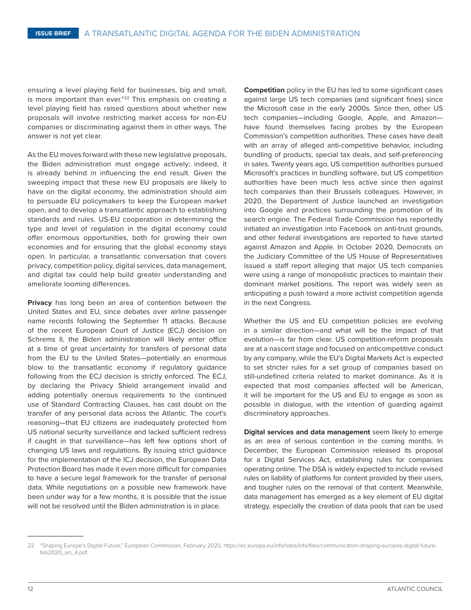ensuring a level playing field for businesses, big and small, is more important than ever."<sup>22</sup> This emphasis on creating a level playing field has raised questions about whether new proposals will involve restricting market access for non-EU companies or discriminating against them in other ways. The answer is not yet clear.

As the EU moves forward with these new legislative proposals, the Biden administration must engage actively; indeed, it is already behind in influencing the end result. Given the sweeping impact that these new EU proposals are likely to have on the digital economy, the administration should aim to persuade EU policymakers to keep the European market open, and to develop a transatlantic approach to establishing standards and rules. US-EU cooperation in determining the type and level of regulation in the digital economy could offer enormous opportunities, both for growing their own economies and for ensuring that the global economy stays open. In particular, a transatlantic conversation that covers privacy, competition policy, digital services, data management, and digital tax could help build greater understanding and ameliorate looming differences.

**Privacy** has long been an area of contention between the United States and EU, since debates over airline passenger name records following the September 11 attacks. Because of the recent European Court of Justice (ECJ) decision on Schrems II, the Biden administration will likely enter office at a time of great uncertainty for transfers of personal data from the EU to the United States—potentially an enormous blow to the transatlantic economy if regulatory guidance following from the ECJ decision is strictly enforced. The ECJ, by declaring the Privacy Shield arrangement invalid and adding potentially onerous requirements to the continued use of Standard Contracting Clauses, has cast doubt on the transfer of any personal data across the Atlantic. The court's reasoning—that EU citizens are inadequately protected from US national security surveillance and lacked sufficient redress if caught in that surveillance—has left few options short of changing US laws and regulations. By issuing strict guidance for the implementation of the ICJ decision, the European Data Protection Board has made it even more difficult for companies to have a secure legal framework for the transfer of personal data. While negotiations on a possible new framework have been under way for a few months, it is possible that the issue will not be resolved until the Biden administration is in place.

**Competition** policy in the EU has led to some significant cases against large US tech companies (and significant fines) since the Microsoft case in the early 2000s. Since then, other US tech companies—including Google, Apple, and Amazon have found themselves facing probes by the European Commission's competition authorities. These cases have dealt with an array of alleged anti-competitive behavior, including bundling of products, special tax deals, and self-preferencing in sales. Twenty years ago, US competition authorities pursued Microsoft's practices in bundling software, but US competition authorities have been much less active since then against tech companies than their Brussels colleagues. However, in 2020, the Department of Justice launched an investigation into Google and practices surrounding the promotion of its search engine. The Federal Trade Commission has reportedly initiated an investigation into Facebook on anti-trust grounds, and other federal investigations are reported to have started against Amazon and Apple. In October 2020, Democrats on the Judiciary Committee of the US House of Representatives issued a staff report alleging that major US tech companies were using a range of monopolistic practices to maintain their dominant market positions. The report was widely seen as anticipating a push toward a more activist competition agenda in the next Congress.

Whether the US and EU competition policies are evolving in a similar direction—and what will be the impact of that evolution—is far from clear. US competition-reform proposals are at a nascent stage and focused on anticompetitive conduct by any company, while the EU's Digital Markets Act is expected to set stricter rules for a set group of companies based on still-undefined criteria related to market dominance. As it is expected that most companies affected will be American, it will be important for the US and EU to engage as soon as possible in dialogue, with the intention of guarding against discriminatory approaches.

**Digital services and data management** seem likely to emerge as an area of serious contention in the coming months. In December, the European Commission released its proposal for a Digital Services Act, establishing rules for companies operating online. The DSA is widely expected to include revised rules on liability of platforms for content provided by their users, and tougher rules on the removal of that content. Meanwhile, data management has emerged as a key element of EU digital strategy, especially the creation of data pools that can be used

<sup>22</sup> "Shaping Europe's Digital Future," European Commission, February 2020, [https://ec.europa.eu/info/sites/info/files/communication-shaping-europes-digital-future](https://ec.europa.eu/info/sites/info/files/communication-shaping-europes-digital-future-feb2020_en_4.pdf)[feb2020\\_en\\_4.pdf](https://ec.europa.eu/info/sites/info/files/communication-shaping-europes-digital-future-feb2020_en_4.pdf).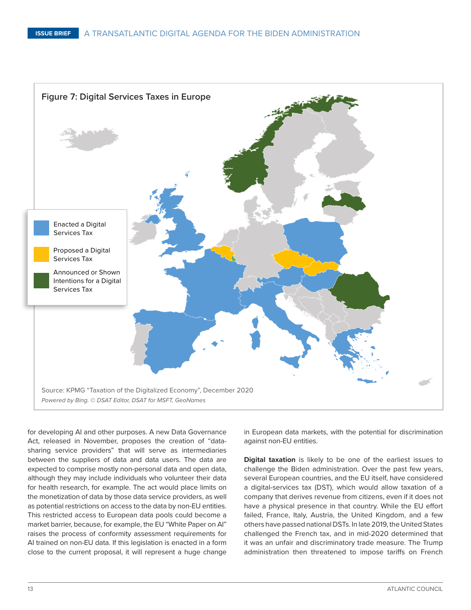

for developing AI and other purposes. A new Data Governance Act, released in November, proposes the creation of "datasharing service providers" that will serve as intermediaries between the suppliers of data and data users. The data are expected to comprise mostly non-personal data and open data, although they may include individuals who volunteer their data for health research, for example. The act would place limits on the monetization of data by those data service providers, as well as potential restrictions on access to the data by non-EU entities. This restricted access to European data pools could become a market barrier, because, for example, the EU "White Paper on AI" raises the process of conformity assessment requirements for AI trained on non-EU data. If this legislation is enacted in a form close to the current proposal, it will represent a huge change

in European data markets, with the potential for discrimination against non-EU entities.

**Digital taxation** is likely to be one of the earliest issues to challenge the Biden administration. Over the past few years, several European countries, and the EU itself, have considered a digital-services tax (DST), which would allow taxation of a company that derives revenue from citizens, even if it does not have a physical presence in that country. While the EU effort failed, France, Italy, Austria, the United Kingdom, and a few others have passed national DSTs. In late 2019, the United States challenged the French tax, and in mid-2020 determined that it was an unfair and discriminatory trade measure. The Trump administration then threatened to impose tariffs on French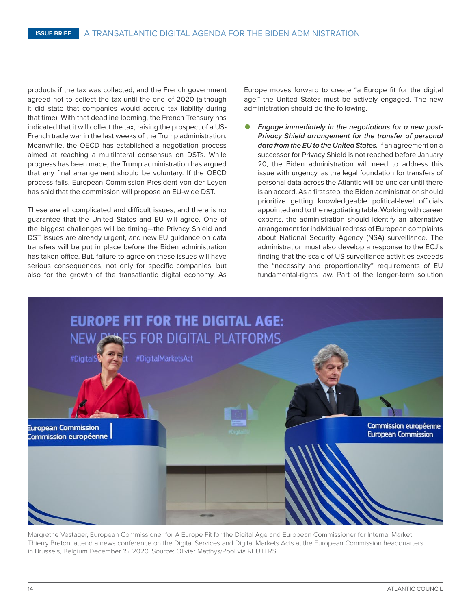products if the tax was collected, and the French government agreed not to collect the tax until the end of 2020 (although it did state that companies would accrue tax liability during that time). With that deadline looming, the French Treasury has indicated that it will collect the tax, raising the prospect of a US-French trade war in the last weeks of the Trump administration. Meanwhile, the OECD has established a negotiation process aimed at reaching a multilateral consensus on DSTs. While progress has been made, the Trump administration has argued that any final arrangement should be voluntary. If the OECD process fails, European Commission President von der Leyen has said that the commission will propose an EU-wide DST.

These are all complicated and difficult issues, and there is no guarantee that the United States and EU will agree. One of the biggest challenges will be timing—the Privacy Shield and DST issues are already urgent, and new EU guidance on data transfers will be put in place before the Biden administration has taken office. But, failure to agree on these issues will have serious consequences, not only for specific companies, but also for the growth of the transatlantic digital economy. As Europe moves forward to create "a Europe fit for the digital age," the United States must be actively engaged. The new administration should do the following.

• *Engage immediately in the negotiations for a new post-Privacy Shield arrangement for the transfer of personal data from the EU to the United States.* If an agreement on a successor for Privacy Shield is not reached before January 20, the Biden administration will need to address this issue with urgency, as the legal foundation for transfers of personal data across the Atlantic will be unclear until there is an accord. As a first step, the Biden administration should prioritize getting knowledgeable political-level officials appointed and to the negotiating table. Working with career experts, the administration should identify an alternative arrangement for individual redress of European complaints about National Security Agency (NSA) surveillance. The administration must also develop a response to the ECJ's finding that the scale of US surveillance activities exceeds the "necessity and proportionality" requirements of EU fundamental-rights law. Part of the longer-term solution



Margrethe Vestager, European Commissioner for A Europe Fit for the Digital Age and European Commissioner for Internal Market Thierry Breton, attend a news conference on the Digital Services and Digital Markets Acts at the European Commission headquarters in Brussels, Belgium December 15, 2020. Source: Olivier Matthys/Pool via REUTERS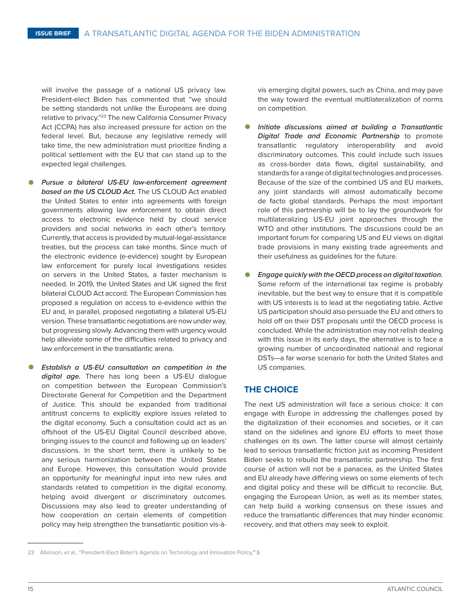will involve the passage of a national US privacy law. President-elect Biden has commented that "we should be setting standards not unlike the Europeans are doing relative to privacy."23 The new California Consumer Privacy Act (CCPA) has also increased pressure for action on the federal level. But, because any legislative remedy will take time, the new administration must prioritize finding a political settlement with the EU that can stand up to the expected legal challenges.

- *Pursue a bilateral US-EU law-enforcement agreement based on the US CLOUD Act.* The US CLOUD Act enabled the United States to enter into agreements with foreign governments allowing law enforcement to obtain direct access to electronic evidence held by cloud service providers and social networks in each other's territory. Currently, that access is provided by mutual-legal-assistance treaties, but the process can take months. Since much of the electronic evidence (e-evidence) sought by European law enforcement for purely local investigations resides on servers in the United States, a faster mechanism is needed. In 2019, the United States and UK signed the first bilateral CLOUD Act accord. The European Commission has proposed a regulation on access to e-evidence within the EU and, in parallel, proposed negotiating a bilateral US-EU version. These transatlantic negotiations are now under way, but progressing slowly. Advancing them with urgency would help alleviate some of the difficulties related to privacy and law enforcement in the transatlantic arena.
- *Establish a US-EU consultation on competition in the digital age.* There has long been a US-EU dialogue on competition between the European Commission's Directorate General for Competition and the Department of Justice. This should be expanded from traditional antitrust concerns to explicitly explore issues related to the digital economy. Such a consultation could act as an offshoot of the US-EU Digital Council described above, bringing issues to the council and following up on leaders' discussions. In the short term, there is unlikely to be any serious harmonization between the United States and Europe. However, this consultation would provide an opportunity for meaningful input into new rules and standards related to competition in the digital economy, helping avoid divergent or discriminatory outcomes. Discussions may also lead to greater understanding of how cooperation on certain elements of competition policy may help strengthen the transatlantic position vis-à-

vis emerging digital powers, such as China, and may pave the way toward the eventual multilateralization of norms on competition.

- *Initiate discussions aimed at building a Transatlantic Digital Trade and Economic Partnership* to promote transatlantic regulatory interoperability and avoid discriminatory outcomes. This could include such issues as cross-border data flows, digital sustainability, and standards for a range of digital technologies and processes. Because of the size of the combined US and EU markets, any joint standards will almost automatically become de facto global standards. Perhaps the most important role of this partnership will be to lay the groundwork for multilateralizing US-EU joint approaches through the WTO and other institutions. The discussions could be an important forum for comparing US and EU views on digital trade provisions in many existing trade agreements and their usefulness as guidelines for the future.
- *Engage quickly with the OECD process on digital taxation.*  Some reform of the international tax regime is probably inevitable, but the best way to ensure that it is compatible with US interests is to lead at the negotiating table. Active US participation should also persuade the EU and others to hold off on their DST proposals until the OECD process is concluded. While the administration may not relish dealing with this issue in its early days, the alternative is to face a growing number of uncoordinated national and regional DSTs—a far worse scenario for both the United States and US companies.

#### **THE CHOICE**

The next US administration will face a serious choice: it can engage with Europe in addressing the challenges posed by the digitalization of their economies and societies, or it can stand on the sidelines and ignore EU efforts to meet those challenges on its own. The latter course will almost certainly lead to serious transatlantic friction just as incoming President Biden seeks to rebuild the transatlantic partnership. The first course of action will not be a panacea, as the United States and EU already have differing views on some elements of tech and digital policy and these will be difficult to reconcile. But, engaging the European Union, as well as its member states, can help build a working consensus on these issues and reduce the transatlantic differences that may hinder economic recovery, and that others may seek to exploit.

<sup>23</sup> Atkinson, et al., "President-Elect Biden's Agenda on Technology and Innovation Policy*," 5.*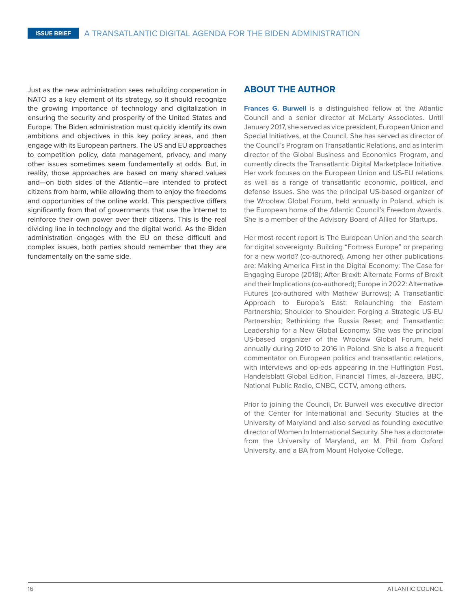Just as the new administration sees rebuilding cooperation in NATO as a key element of its strategy, so it should recognize the growing importance of technology and digitalization in ensuring the security and prosperity of the United States and Europe. The Biden administration must quickly identify its own ambitions and objectives in this key policy areas, and then engage with its European partners. The US and EU approaches to competition policy, data management, privacy, and many other issues sometimes seem fundamentally at odds. But, in reality, those approaches are based on many shared values and—on both sides of the Atlantic—are intended to protect citizens from harm, while allowing them to enjoy the freedoms and opportunities of the online world. This perspective differs significantly from that of governments that use the Internet to reinforce their own power over their citizens. This is the real dividing line in technology and the digital world. As the Biden administration engages with the EU on these difficult and complex issues, both parties should remember that they are fundamentally on the same side.

#### **ABOUT THE AUTHOR**

**Frances G. Burwell** is a distinguished fellow at the Atlantic Council and a senior director at McLarty Associates. Until January 2017, she served as vice president, European Union and Special Initiatives, at the Council. She has served as director of the Council's Program on Transatlantic Relations, and as interim director of the Global Business and Economics Program, and currently directs the Transatlantic Digital Marketplace Initiative. Her work focuses on the European Union and US-EU relations as well as a range of transatlantic economic, political, and defense issues. She was the principal US-based organizer of the Wrocław Global Forum, held annually in Poland, which is the European home of the Atlantic Council's Freedom Awards. She is a member of the Advisory Board of Allied for Startups.

Her most recent report is The European Union and the search for digital sovereignty: Building "Fortress Europe" or preparing for a new world? (co-authored). Among her other publications are: Making America First in the Digital Economy: The Case for Engaging Europe (2018); After Brexit: Alternate Forms of Brexit and their Implications (co-authored); Europe in 2022: Alternative Futures (co-authored with Mathew Burrows); A Transatlantic Approach to Europe's East: Relaunching the Eastern Partnership; Shoulder to Shoulder: Forging a Strategic US-EU Partnership; Rethinking the Russia Reset; and Transatlantic Leadership for a New Global Economy. She was the principal US-based organizer of the Wrocław Global Forum, held annually during 2010 to 2016 in Poland. She is also a frequent commentator on European politics and transatlantic relations, with interviews and op-eds appearing in the Huffington Post, Handelsblatt Global Edition, Financial Times, al-Jazeera, BBC, National Public Radio, CNBC, CCTV, among others.

Prior to joining the Council, Dr. Burwell was executive director of the Center for International and Security Studies at the University of Maryland and also served as founding executive director of Women In International Security. She has a doctorate from the University of Maryland, an M. Phil from Oxford University, and a BA from Mount Holyoke College.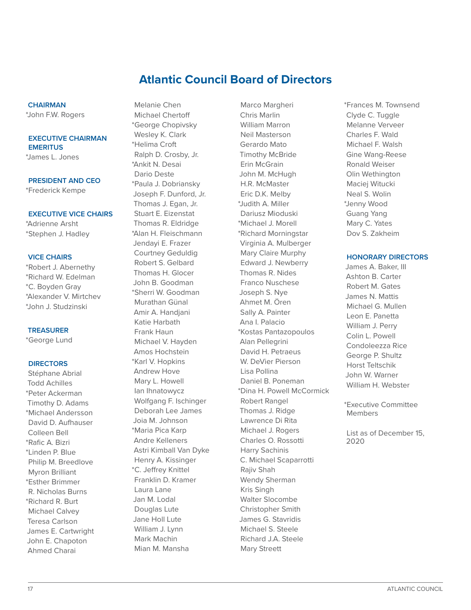## **Atlantic Council Board of Directors**

#### **CHAIRMAN**

\*John F.W. Rogers

#### **EXECUTIVE CHAIRMAN EMERITUS**

\*James L. Jones

**PRESIDENT AND CEO** \*Frederick Kempe

#### **EXECUTIVE VICE CHAIRS**

\*Adrienne Arsht \*Stephen J. Hadley

#### **VICE CHAIRS**

\*Robert J. Abernethy \*Richard W. Edelman \*C. Boyden Gray \*Alexander V. Mirtchev \*John J. Studzinski

#### **TREASURER**

\*George Lund

#### **DIRECTORS**

Stéphane Abrial Todd Achilles \*Peter Ackerman Timothy D. Adams \*Michael Andersson David D. Aufhauser Colleen Bell \*Rafic A. Bizri \*Linden P. Blue Philip M. Breedlove Myron Brilliant \*Esther Brimmer R. Nicholas Burns \*Richard R. Burt Michael Calvey Teresa Carlson James E. Cartwright John E. Chapoton Ahmed Charai

Melanie Chen Michael Chertoff \*George Chopivsky Wesley K. Clark \*Helima Croft Ralph D. Crosby, Jr. \*Ankit N. Desai Dario Deste \*Paula J. Dobriansky Joseph F. Dunford, Jr. Thomas J. Egan, Jr. Stuart E. Eizenstat Thomas R. Eldridge \*Alan H. Fleischmann Jendayi E. Frazer Courtney Geduldig Robert S. Gelbard Thomas H. Glocer John B. Goodman \*Sherri W. Goodman Murathan Günal Amir A. Handjani Katie Harbath Frank Haun Michael V. Hayden Amos Hochstein \*Karl V. Hopkins Andrew Hove Mary L. Howell Ian Ihnatowycz Wolfgang F. Ischinger Deborah Lee James Joia M. Johnson \*Maria Pica Karp Andre Kelleners Astri Kimball Van Dyke Henry A. Kissinger \*C. Jeffrey Knittel Franklin D. Kramer Laura Lane Jan M. Lodal Douglas Lute Jane Holl Lute William J. Lynn Mark Machin Mian M. Mansha

Marco Margheri Chris Marlin William Marron Neil Masterson Gerardo Mato Timothy McBride Erin McGrain John M. McHugh H.R. McMaster Eric D.K. Melby \*Judith A. Miller Dariusz Mioduski \*Michael J. Morell \*Richard Morningstar Virginia A. Mulberger Mary Claire Murphy Edward J. Newberry Thomas R. Nides Franco Nuschese Joseph S. Nye Ahmet M. Ören Sally A. Painter Ana I. Palacio \*Kostas Pantazopoulos Alan Pellegrini David H. Petraeus W. DeVier Pierson Lisa Pollina Daniel B. Poneman \*Dina H. Powell McCormick Robert Rangel Thomas J. Ridge Lawrence Di Rita Michael J. Rogers Charles O. Rossotti Harry Sachinis C. Michael Scaparrotti Rajiv Shah Wendy Sherman Kris Singh Walter Slocombe Christopher Smith James G. Stavridis Michael S. Steele Richard J.A. Steele Mary Streett

\*Frances M. Townsend Clyde C. Tuggle Melanne Verveer Charles F. Wald Michael F. Walsh Gine Wang-Reese Ronald Weiser Olin Wethington Maciej Witucki Neal S. Wolin \*Jenny Wood Guang Yang Mary C. Yates Dov S. Zakheim

#### **HONORARY DIRECTORS**

James A. Baker, III Ashton B. Carter Robert M. Gates James N. Mattis Michael G. Mullen Leon E. Panetta William J. Perry Colin L. Powell Condoleezza Rice George P. Shultz Horst Teltschik John W. Warner William H. Webster

\*Executive Committee Members

List as of December 15, 2020